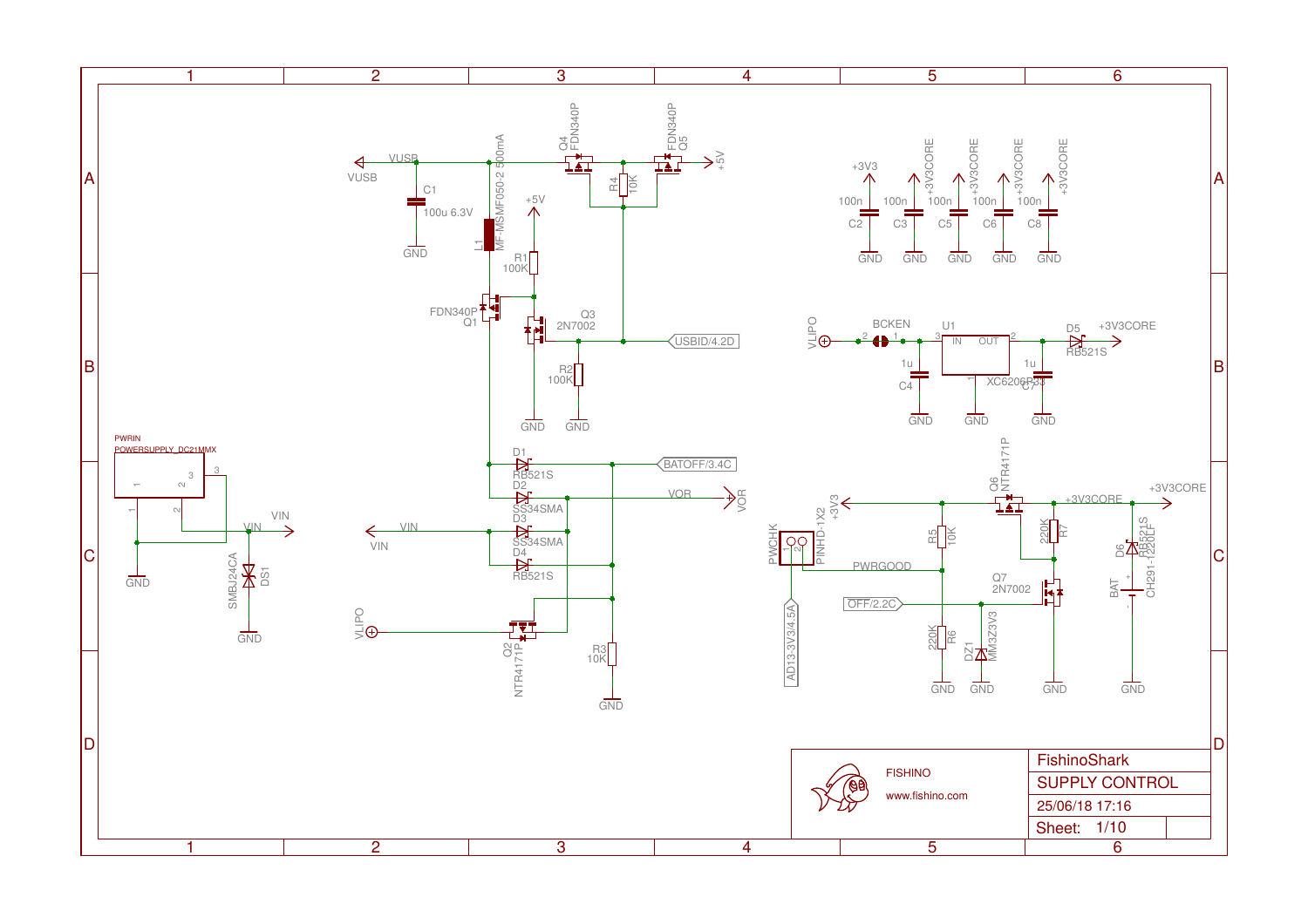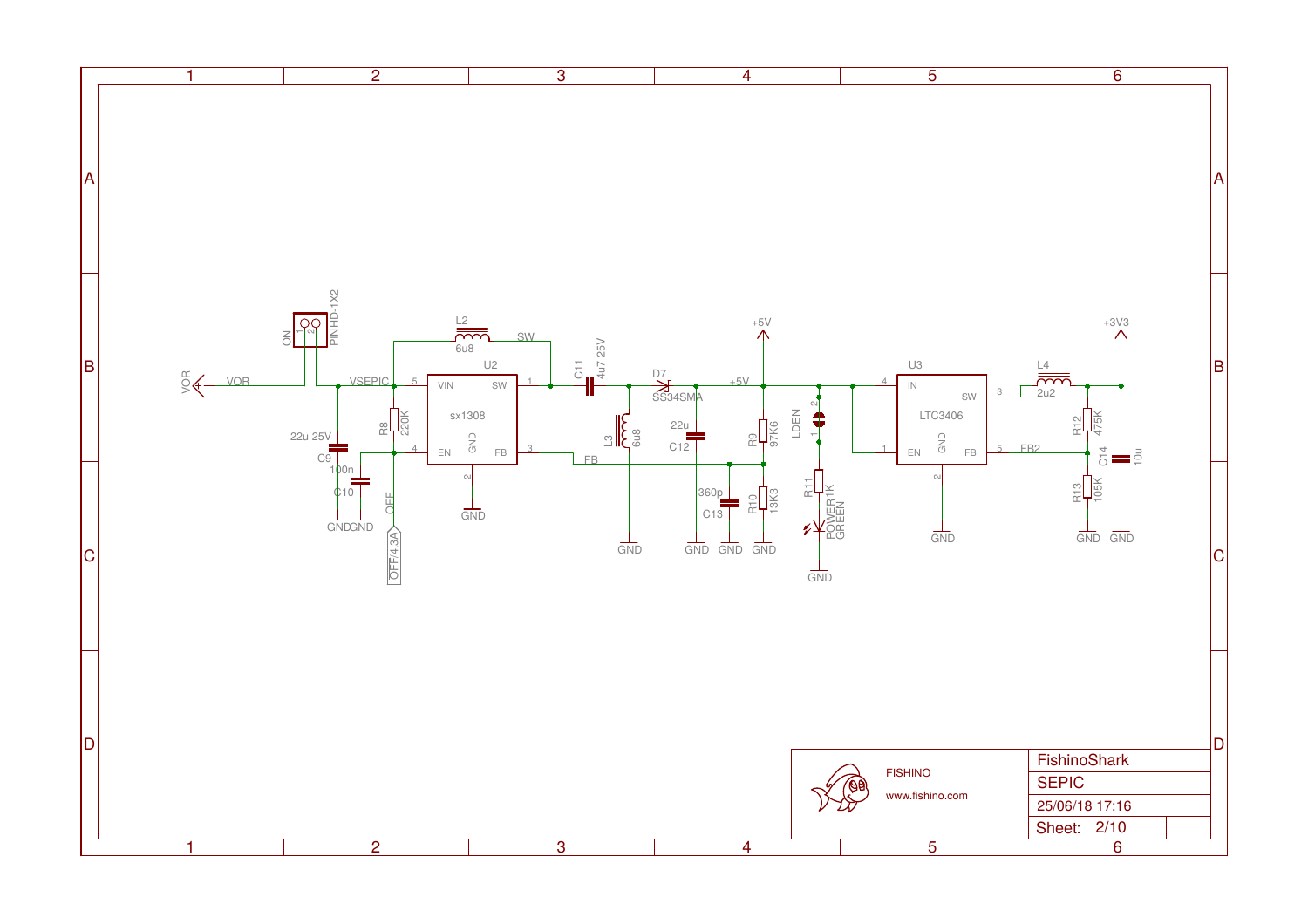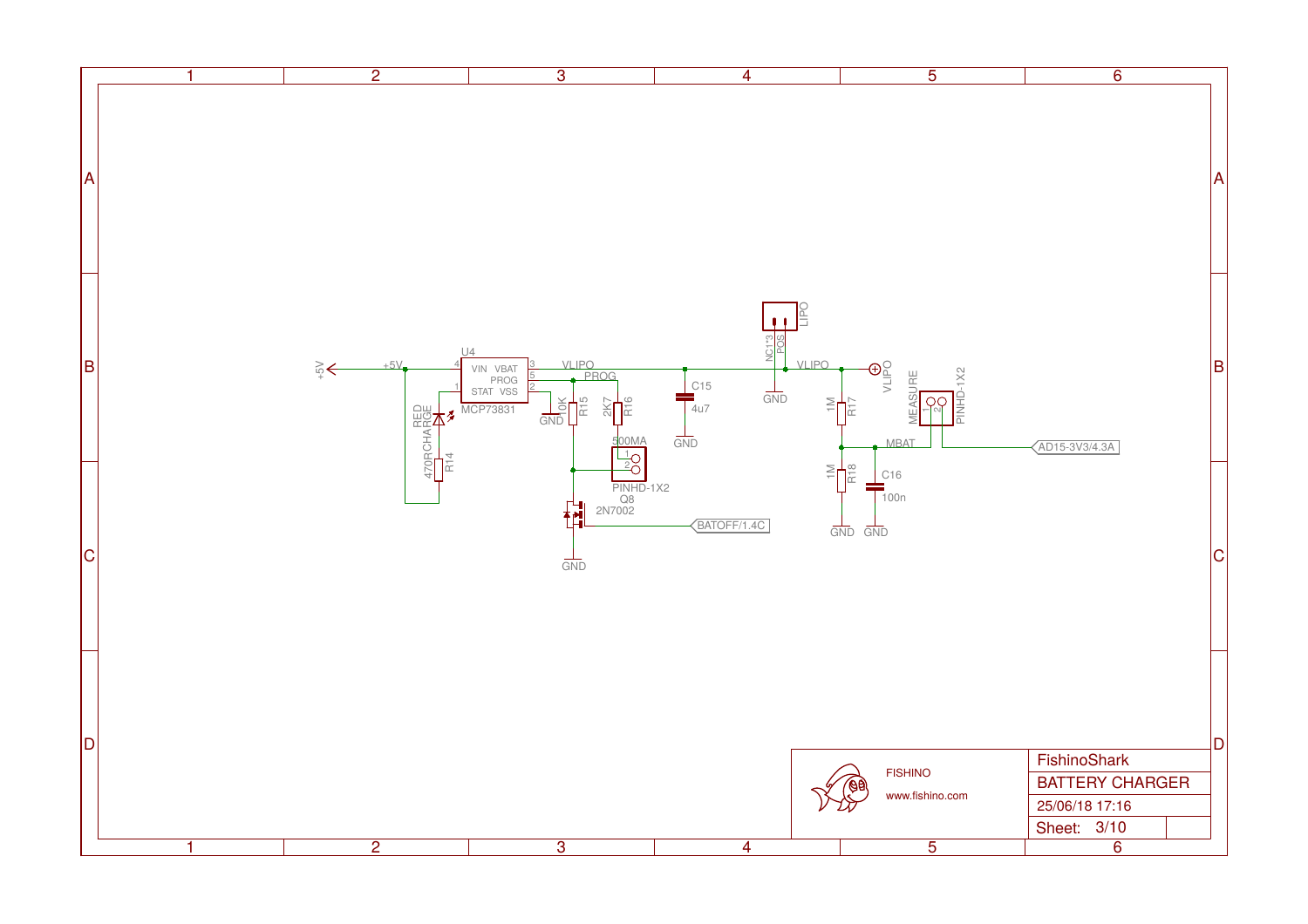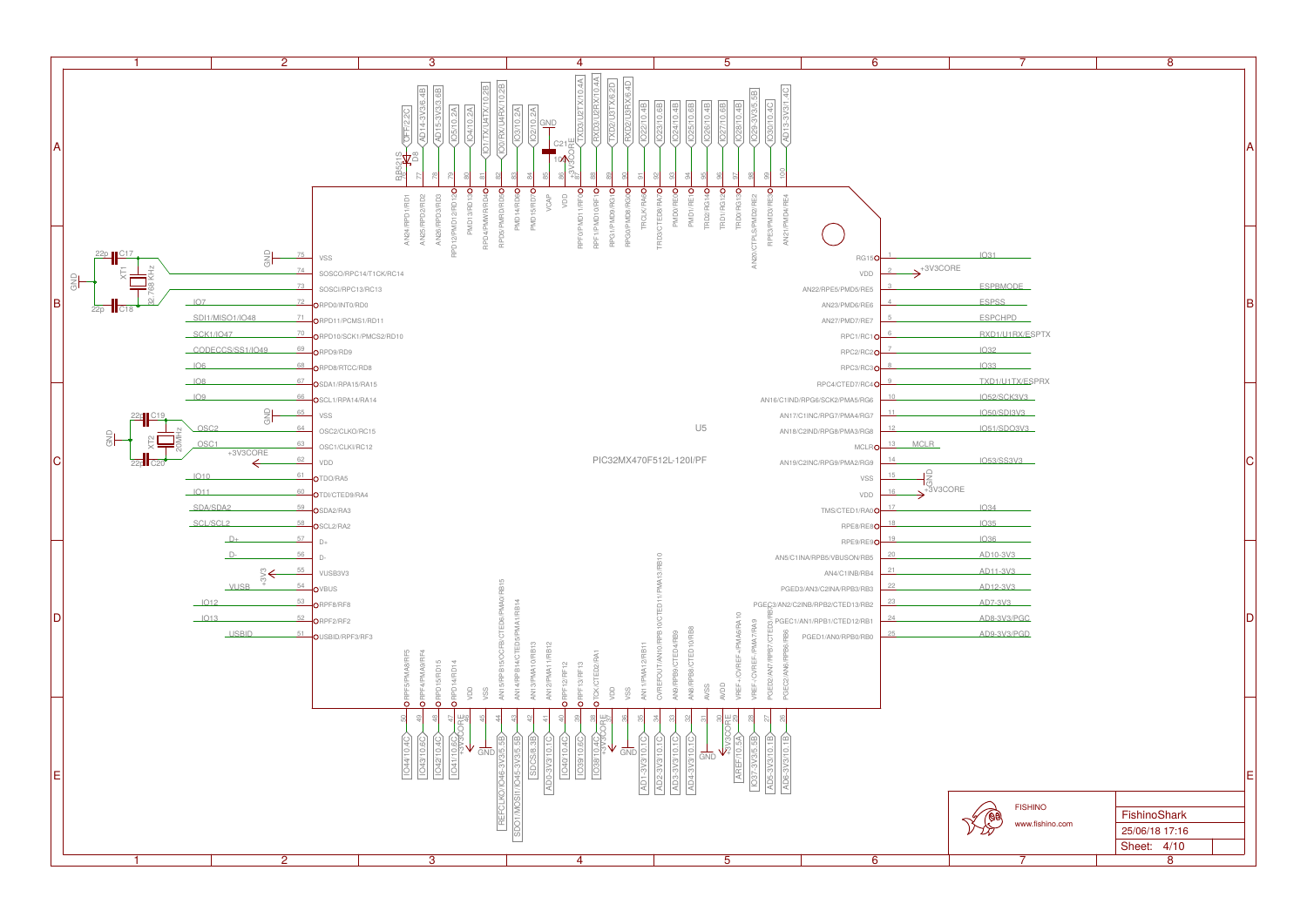

| 7                                                                                                                 | 8              |   |
|-------------------------------------------------------------------------------------------------------------------|----------------|---|
|                                                                                                                   |                | A |
| 31<br>SPBMODE <sub>-</sub><br>SPSS <sub>b</sub><br><b>SPCHPD</b><br><b>CD1/U1RX/ESPTX</b><br>32<br>$\frac{33}{2}$ |                | B |
| (D1/U1TX/ESPRX                                                                                                    |                |   |
| 52/SCK3V3                                                                                                         |                |   |
| 50/SDI3V3                                                                                                         |                |   |
| 51/SDO3V3                                                                                                         |                |   |
| 53/SS3V3<br>34<br>35<br>36                                                                                        |                | С |
| $210 - 3V3$                                                                                                       |                |   |
| $211 - 3V3$                                                                                                       |                |   |
| $212 - 3V3$                                                                                                       |                |   |
| 07-3V3<br>08-3V3/PGC<br>09-3V3/PGD                                                                                |                | D |
|                                                                                                                   |                | Ε |
| <b>FISHINO</b>                                                                                                    |                |   |
| <b>Age</b><br>www.fishino.com                                                                                     | FishinoShark   |   |
|                                                                                                                   | 25/06/18 17:16 |   |
|                                                                                                                   | 4/10<br>Sheet: |   |
| 7                                                                                                                 | 8              |   |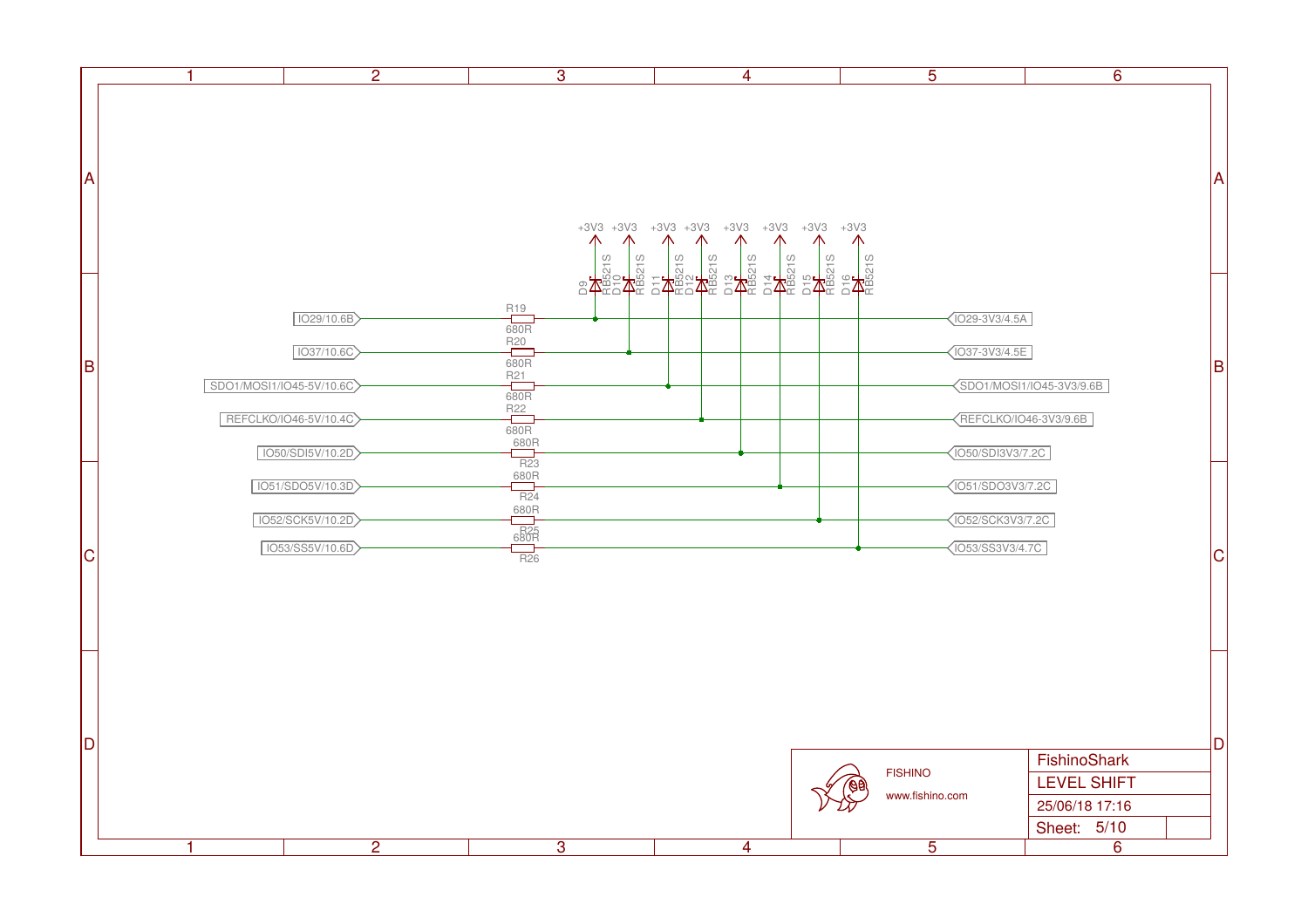|    | $\overline{2}$<br>$\mathbf 1$          | $\overline{3}$                                                                                                                                                                                                                                                                                                  | $\overline{4}$ | $\overline{5}$    | $\overline{6}$           |           |
|----|----------------------------------------|-----------------------------------------------------------------------------------------------------------------------------------------------------------------------------------------------------------------------------------------------------------------------------------------------------------------|----------------|-------------------|--------------------------|-----------|
|    |                                        |                                                                                                                                                                                                                                                                                                                 |                |                   |                          |           |
|    |                                        |                                                                                                                                                                                                                                                                                                                 |                |                   |                          |           |
|    |                                        |                                                                                                                                                                                                                                                                                                                 |                |                   |                          |           |
| A  |                                        |                                                                                                                                                                                                                                                                                                                 |                |                   |                          | Α         |
|    |                                        |                                                                                                                                                                                                                                                                                                                 |                |                   |                          |           |
|    |                                        |                                                                                                                                                                                                                                                                                                                 |                |                   |                          |           |
|    |                                        |                                                                                                                                                                                                                                                                                                                 |                |                   |                          |           |
|    |                                        |                                                                                                                                                                                                                                                                                                                 |                |                   |                          |           |
|    | 1029/10.6B                             |                                                                                                                                                                                                                                                                                                                 |                | 1029-3V3/4.5A     |                          |           |
|    |                                        | $\begin{tabular}{c c c c} \hline $R12$ & $R31$ & $R21$ \\ \hline $R23$ & $R31$ & $R32$ & $R31$ \\ \hline $R23$ & $R32$ & $R31$ & $R22$ \\ \hline $R24$ & $R32$ & $R31$ & $R32$ \\ \hline $R26$ & $R32$ & $R31$ & $R31$ & $R32$ \\ \hline $R26$ & $R32$ & $R31$ & $R31$ & $R31$ & $R32$ \\ \hline \end{tabular}$ |                |                   |                          |           |
| B  | 1037/10.6C                             |                                                                                                                                                                                                                                                                                                                 |                | 037-3V3/4.5E      |                          | $\vert$ B |
|    | SDO1/MOSI1/IO45-5V/10.6C               |                                                                                                                                                                                                                                                                                                                 |                |                   | SDO1/MOSI1/IO45-3V3/9.6B |           |
|    | REFCLKO/IO46-5V/10.4C                  |                                                                                                                                                                                                                                                                                                                 |                |                   | REFCLKO/IO46-3V3/9.6B    |           |
|    |                                        |                                                                                                                                                                                                                                                                                                                 |                |                   |                          |           |
|    | 1050/SDI5V/10.2D                       |                                                                                                                                                                                                                                                                                                                 |                | [O50/SDI3V3/7.2C] |                          |           |
|    | 1051/SDO5V/10.3D                       |                                                                                                                                                                                                                                                                                                                 |                | 1051/SD03V3/7.2C  |                          |           |
|    | 1052/SCK5V/10.2D                       |                                                                                                                                                                                                                                                                                                                 |                | 1052/SCK3V3/7.2C  |                          |           |
| ∣с | IO53/SS5V/10.6D                        |                                                                                                                                                                                                                                                                                                                 |                | 053/SS3V3/4.7C    |                          | IС        |
|    |                                        |                                                                                                                                                                                                                                                                                                                 |                |                   |                          |           |
|    |                                        |                                                                                                                                                                                                                                                                                                                 |                |                   |                          |           |
|    |                                        |                                                                                                                                                                                                                                                                                                                 |                |                   |                          |           |
|    |                                        |                                                                                                                                                                                                                                                                                                                 |                |                   |                          |           |
|    |                                        |                                                                                                                                                                                                                                                                                                                 |                |                   |                          |           |
|    |                                        |                                                                                                                                                                                                                                                                                                                 |                |                   |                          |           |
|    |                                        |                                                                                                                                                                                                                                                                                                                 |                |                   |                          |           |
| D) |                                        |                                                                                                                                                                                                                                                                                                                 |                |                   | FishinoShark             | ID        |
|    |                                        |                                                                                                                                                                                                                                                                                                                 |                | <b>FISHINO</b>    | <b>LEVEL SHIFT</b>       |           |
|    |                                        |                                                                                                                                                                                                                                                                                                                 |                | www.fishino.com   | 25/06/18 17:16           |           |
|    |                                        |                                                                                                                                                                                                                                                                                                                 |                |                   | Sheet: 5/10              |           |
|    | $\overline{2}$<br>$\blacktriangleleft$ | $\overline{3}$                                                                                                                                                                                                                                                                                                  | $\overline{4}$ | $\overline{5}$    | $\overline{6}$           |           |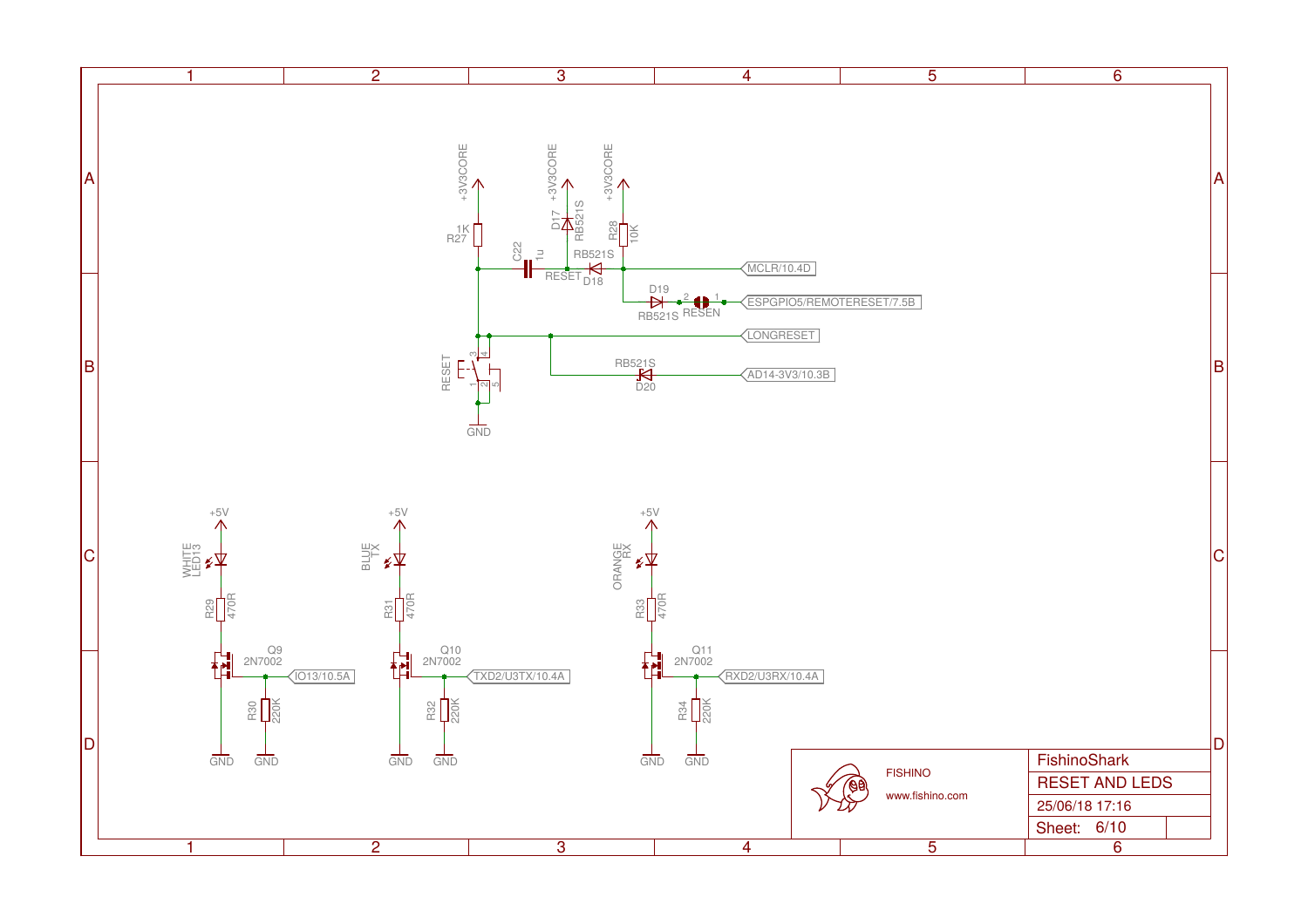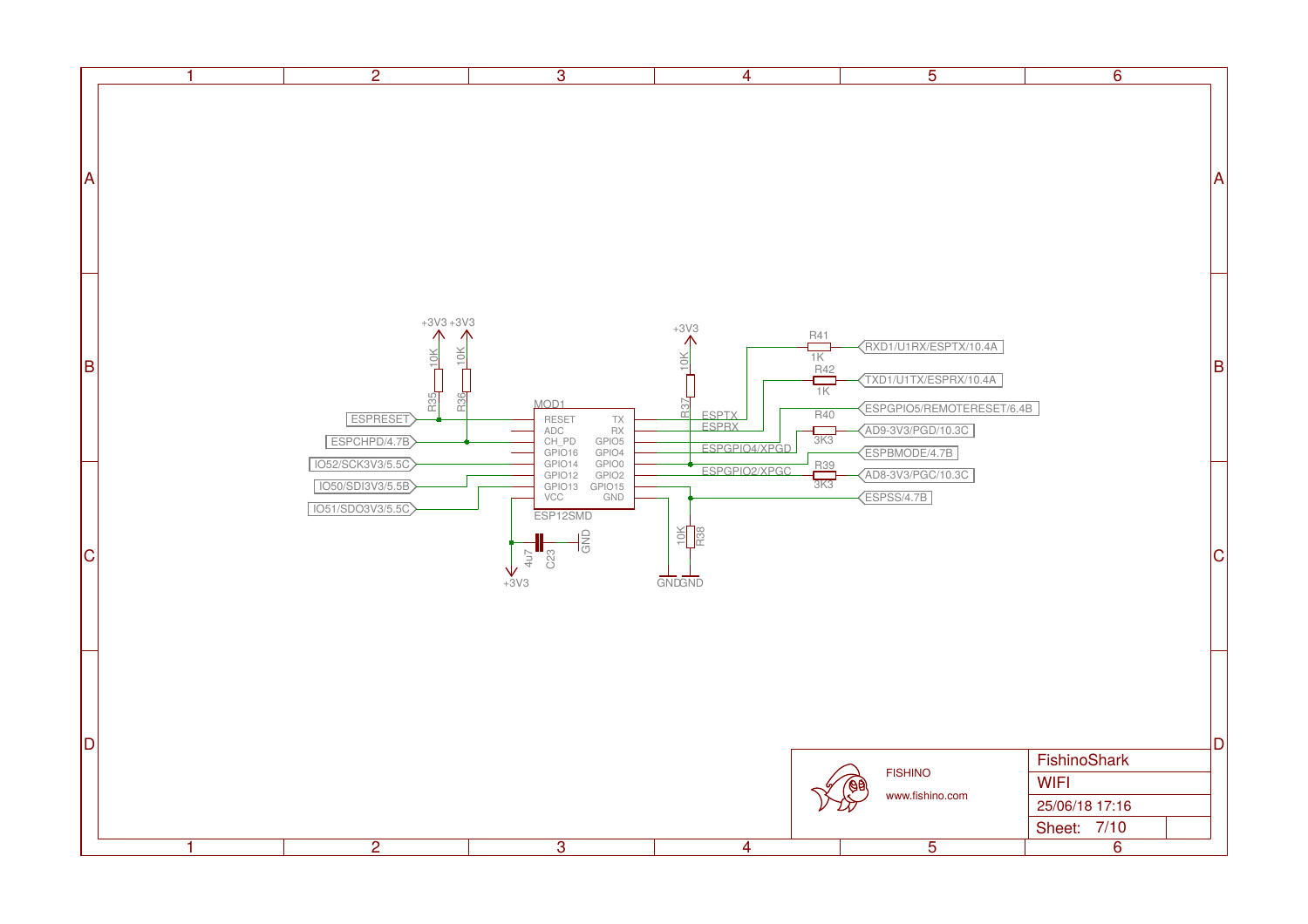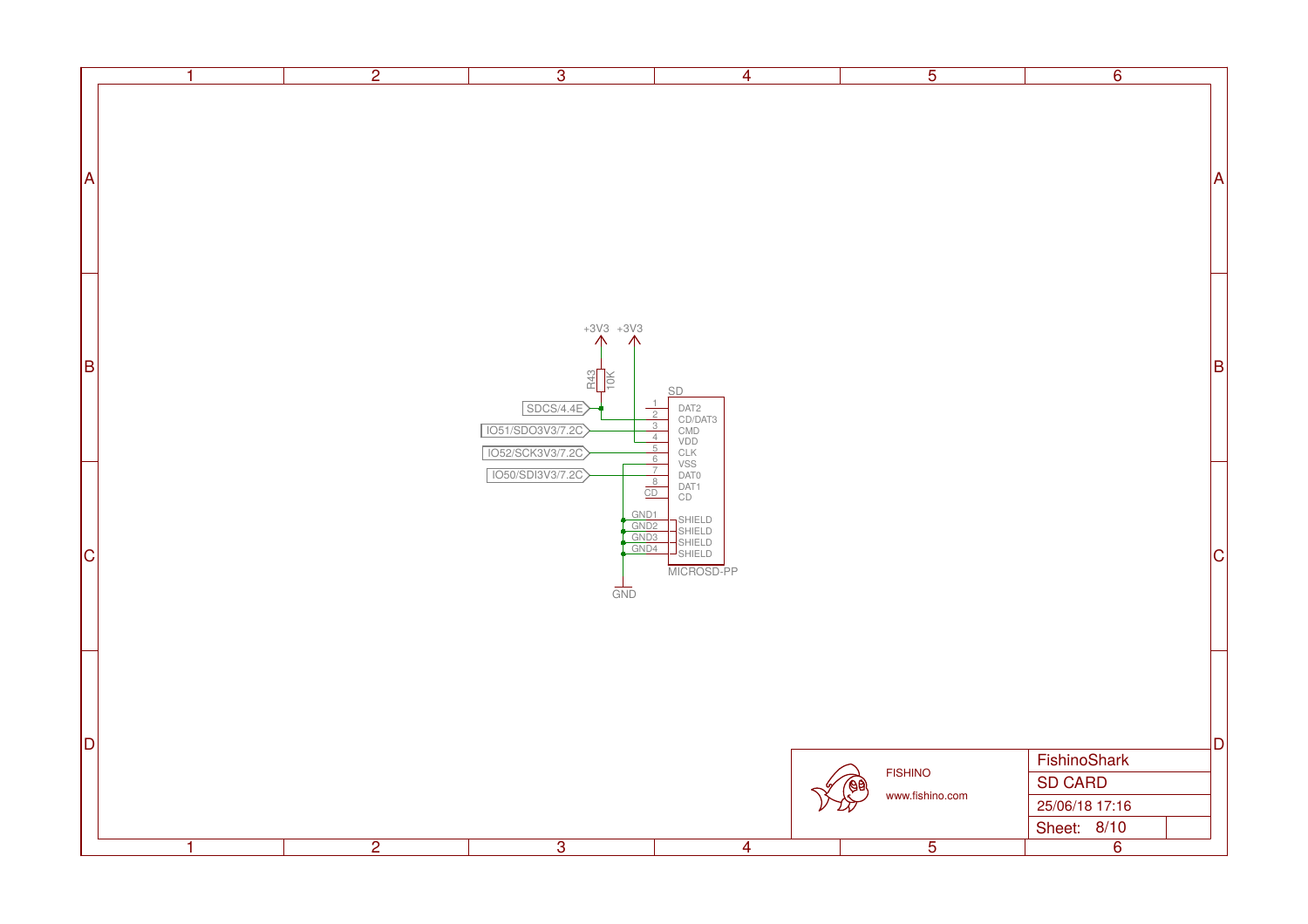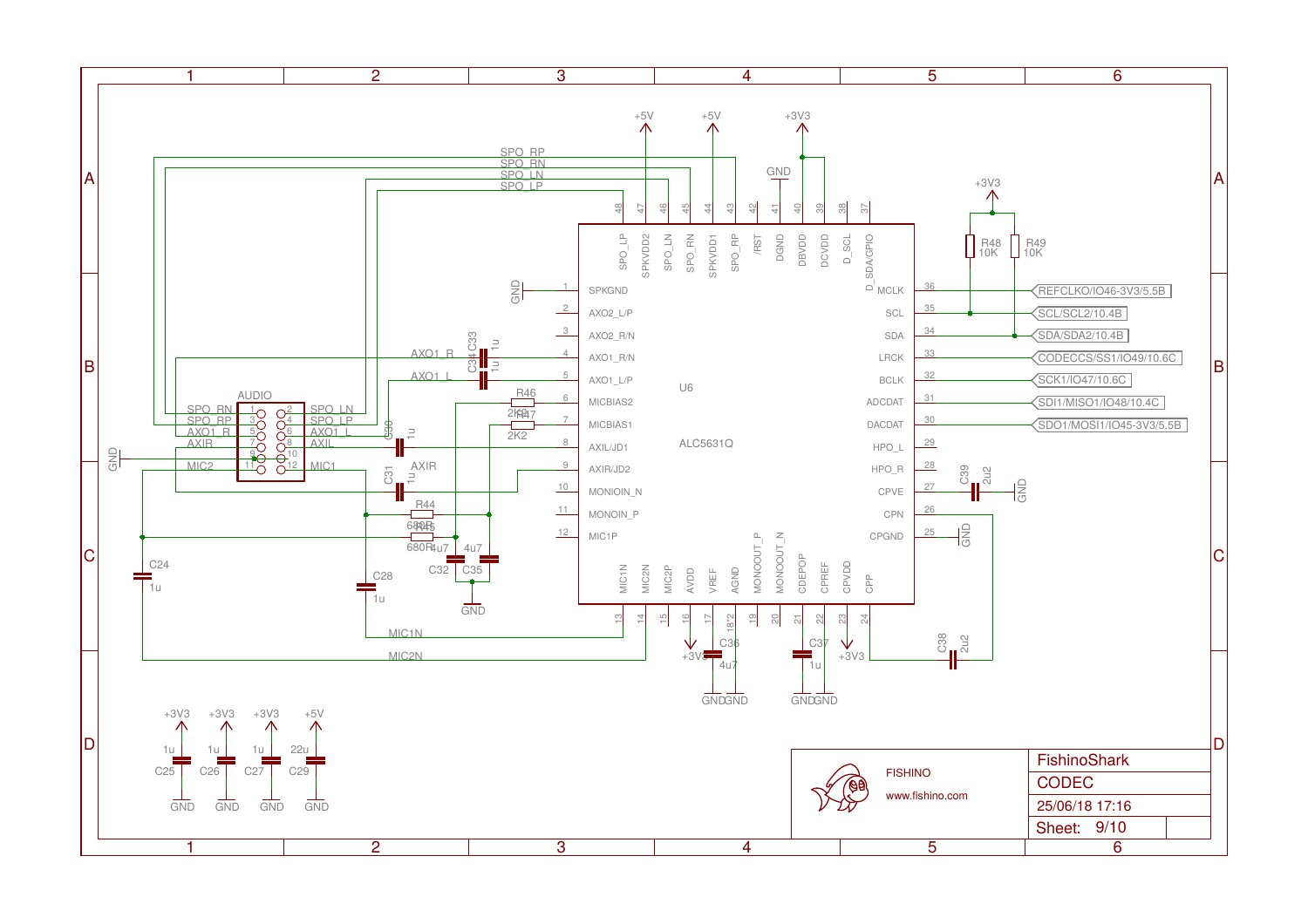